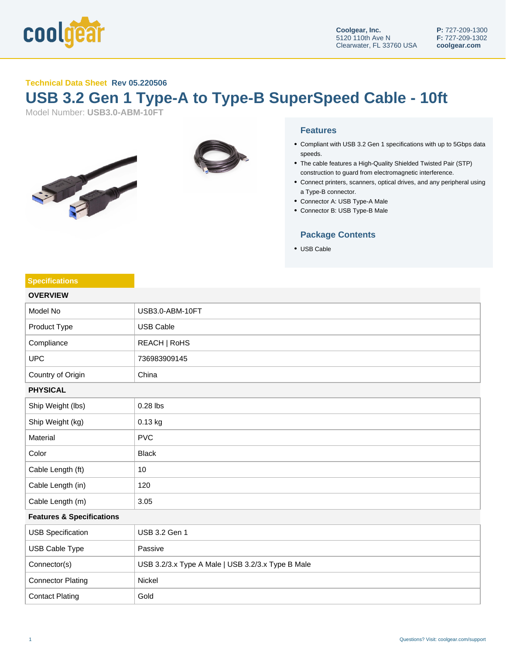

### **Technical Data Sheet Rev 05.220506**

# **USB 3.2 Gen 1 Type-A to Type-B SuperSpeed Cable - 10ft**

Model Number: **USB3.0-ABM-10FT**





#### **Features**

- Compliant with USB 3.2 Gen 1 specifications with up to 5Gbps data speeds.
- The cable features a High-Quality Shielded Twisted Pair (STP) construction to guard from electromagnetic interference.
- Connect printers, scanners, optical drives, and any peripheral using a Type-B connector.
- Connector A: USB Type-A Male
- Connector B: USB Type-B Male

## **Package Contents**

USB Cable

#### **Specifications**

| <b>OVERVIEW</b>                      |                                                   |  |
|--------------------------------------|---------------------------------------------------|--|
| Model No                             | USB3.0-ABM-10FT                                   |  |
| Product Type                         | <b>USB Cable</b>                                  |  |
| Compliance                           | REACH   RoHS                                      |  |
| <b>UPC</b>                           | 736983909145                                      |  |
| Country of Origin                    | China                                             |  |
| <b>PHYSICAL</b>                      |                                                   |  |
| Ship Weight (lbs)                    | 0.28 lbs                                          |  |
| Ship Weight (kg)                     | 0.13 kg                                           |  |
| Material                             | <b>PVC</b>                                        |  |
| Color                                | <b>Black</b>                                      |  |
| Cable Length (ft)                    | $10$                                              |  |
| Cable Length (in)                    | 120                                               |  |
| Cable Length (m)                     | 3.05                                              |  |
| <b>Features &amp; Specifications</b> |                                                   |  |
| <b>USB Specification</b>             | USB 3.2 Gen 1                                     |  |
| USB Cable Type                       | Passive                                           |  |
| Connector(s)                         | USB 3.2/3.x Type A Male   USB 3.2/3.x Type B Male |  |
| <b>Connector Plating</b>             | Nickel                                            |  |
| <b>Contact Plating</b>               | Gold                                              |  |